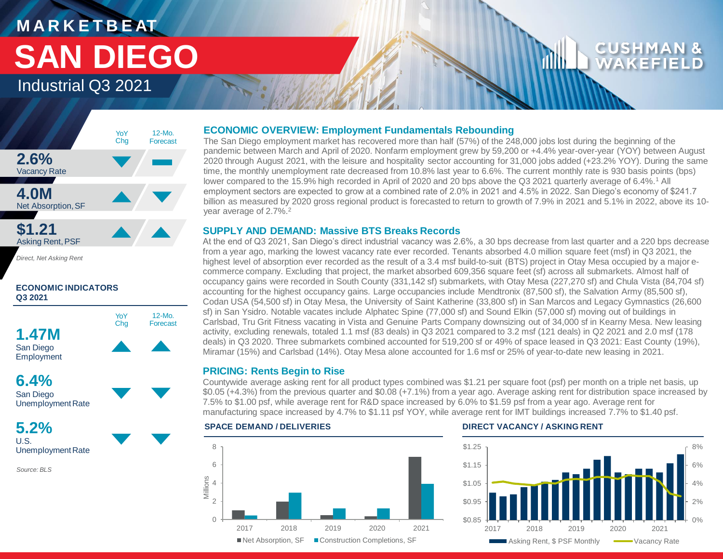# WAKEF



*Direct, Net Asking Rent*

### **ECONOMIC INDICATORS Q3 2021**





**5.2%** U.S.

Unemployment Rate

*Source: BLS*

### **ECONOMIC OVERVIEW: Employment Fundamentals Rebounding**

The San Diego employment market has recovered more than half (57%) of the 248,000 jobs lost during the beginning of the pandemic between March and April of 2020. Nonfarm employment grew by 59,200 or +4.4% year-over-year (YOY) between August 2020 through August 2021, with the leisure and hospitality sector accounting for 31,000 jobs added (+23.2% YOY). During the same time, the monthly unemployment rate decreased from 10.8% last year to 6.6%. The current monthly rate is 930 basis points (bps) lower compared to the 15.9% high recorded in April of 2020 and 20 bps above the Q3 2021 quarterly average of 6.4%.<sup>1</sup> All employment sectors are expected to grow at a combined rate of 2.0% in 2021 and 4.5% in 2022. San Diego's economy of \$241.7 billion as measured by 2020 gross regional product is forecasted to return to growth of 7.9% in 2021 and 5.1% in 2022, above its 10 year average of 2.7%.<sup>2</sup>

### **SUPPLY AND DEMAND: Massive BTS Breaks Records**

At the end of Q3 2021, San Diego's direct industrial vacancy was 2.6%, a 30 bps decrease from last quarter and a 220 bps decrease from a year ago, marking the lowest vacancy rate ever recorded. Tenants absorbed 4.0 million square feet (msf) in Q3 2021, the highest level of absorption ever recorded as the result of a 3.4 msf build-to-suit (BTS) project in Otay Mesa occupied by a major ecommerce company. Excluding that project, the market absorbed 609,356 square feet (sf) across all submarkets. Almost half of occupancy gains were recorded in South County (331,142 sf) submarkets, with Otay Mesa (227,270 sf) and Chula Vista (84,704 sf) accounting for the highest occupancy gains. Large occupancies include Mendtronix (87,500 sf), the Salvation Army (85,500 sf), Codan USA (54,500 sf) in Otay Mesa, the University of Saint Katherine (33,800 sf) in San Marcos and Legacy Gymnastics (26,600 sf) in San Ysidro. Notable vacates include Alphatec Spine (77,000 sf) and Sound Elkin (57,000 sf) moving out of buildings in Carlsbad, Tru Grit Fitness vacating in Vista and Genuine Parts Company downsizing out of 34,000 sf in Kearny Mesa. New leasing activity, excluding renewals, totaled 1.1 msf (83 deals) in Q3 2021 compared to 3.2 msf (121 deals) in Q2 2021 and 2.0 msf (178 deals) in Q3 2020. Three submarkets combined accounted for 519,200 sf or 49% of space leased in Q3 2021: East County (19%), Miramar (15%) and Carlsbad (14%). Otay Mesa alone accounted for 1.6 msf or 25% of year-to-date new leasing in 2021.

### **PRICING: Rents Begin to Rise**

Countywide average asking rent for all product types combined was \$1.21 per square foot (psf) per month on a triple net basis, up \$0.05 (+4.3%) from the previous quarter and \$0.08 (+7.1%) from a year ago. Average asking rent for distribution space increased by 7.5% to \$1.00 psf, while average rent for R&D space increased by 6.0% to \$1.59 psf from a year ago. Average rent for manufacturing space increased by 4.7% to \$1.11 psf YOY, while average rent for IMT buildings increased 7.7% to \$1.40 psf.

### $\Omega$ 2 4 Millions 6 8 2017 2018 2019 2020 2021 ■ Net Absorption, SF ■ Construction Completions, SF

### **SPACE DEMAND / DELIVERIES DIRECT VACANCY / ASKING RENT**

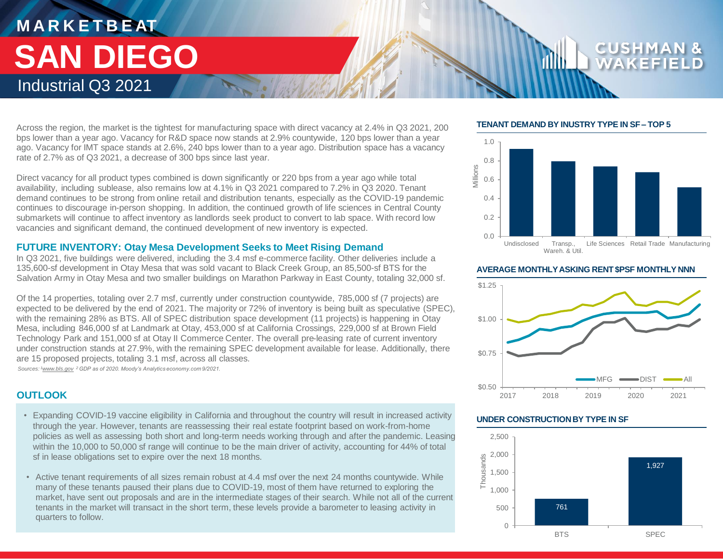Across the region, the market is the tightest for manufacturing space with direct vacancy at 2.4% in Q3 2021, 200 bps lower than a year ago. Vacancy for R&D space now stands at 2.9% countywide, 120 bps lower than a year ago. Vacancy for IMT space stands at 2.6%, 240 bps lower than to a year ago. Distribution space has a vacancy rate of 2.7% as of Q3 2021, a decrease of 300 bps since last year.

Direct vacancy for all product types combined is down significantly or 220 bps from a year ago while total availability, including sublease, also remains low at 4.1% in Q3 2021 compared to 7.2% in Q3 2020. Tenant demand continues to be strong from online retail and distribution tenants, especially as the COVID-19 pandemic continues to discourage in-person shopping. In addition, the continued growth of life sciences in Central County submarkets will continue to affect inventory as landlords seek product to convert to lab space. With record low vacancies and significant demand, the continued development of new inventory is expected.

### **FUTURE INVENTORY: Otay Mesa Development Seeks to Meet Rising Demand**

In Q3 2021, five buildings were delivered, including the 3.4 msf e-commerce facility. Other deliveries include a 135,600-sf development in Otay Mesa that was sold vacant to Black Creek Group, an 85,500-sf BTS for the Salvation Army in Otay Mesa and two smaller buildings on Marathon Parkway in East County, totaling 32,000 sf.

Of the 14 properties, totaling over 2.7 msf, currently under construction countywide, 785,000 sf (7 projects) are expected to be delivered by the end of 2021. The majority or 72% of inventory is being built as speculative (SPEC), with the remaining 28% as BTS. All of SPEC distribution space development (11 projects) is happening in Otay Mesa, including 846,000 sf at Landmark at Otay, 453,000 sf at California Crossings, 229,000 sf at Brown Field Technology Park and 151,000 sf at Otay II Commerce Center. The overall pre-leasing rate of current inventory under construction stands at 27.9%, with the remaining SPEC development available for lease. Additionally, there are 15 proposed projects, totaling 3.1 msf, across all classes. *Sources: <sup>1</sup>www.bls.gov <sup>2</sup>GDP as of 2020. Moody's Analytics economy.com 9/2021.* 

**OUTLOOK**

- Expanding COVID-19 vaccine eligibility in California and throughout the country will result in increased activity through the year. However, tenants are reassessing their real estate footprint based on work-from-home policies as well as assessing both short and long-term needs working through and after the pandemic. Leasing within the 10,000 to 50,000 sf range will continue to be the main driver of activity, accounting for 44% of total sf in lease obligations set to expire over the next 18 months.
- Active tenant requirements of all sizes remain robust at 4.4 msf over the next 24 months countywide. While many of these tenants paused their plans due to COVID-19, most of them have returned to exploring the market, have sent out proposals and are in the intermediate stages of their search. While not all of the current tenants in the market will transact in the short term, these levels provide a barometer to leasing activity in quarters to follow.

### **TENANT DEMAND BY INUSTRY TYPE IN SF – TOP 5**



### **AVERAGE MONTHLY ASKING RENT \$PSF MONTHLY NNN**



### **UNDER CONSTRUCTION BY TYPE IN SF**

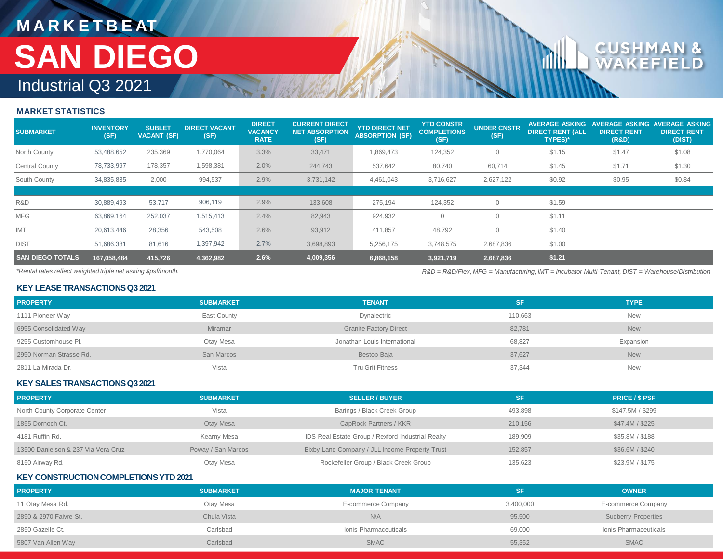### **MARKET STATISTICS**

| <b>SUBMARKET</b>        | <b>INVENTORY</b><br>(SF) | <b>SUBLET</b><br><b>VACANT (SF)</b> | <b>DIRECT VACANT</b><br>(SF) | <b>DIRECT</b><br><b>VACANCY</b><br><b>RATE</b> | <b>CURRENT DIRECT</b><br><b>NET ABSORPTION</b><br>(SF) | <b>YTD DIRECT NET</b><br><b>ABSORPTION (SF)</b> | <b>YTD CONSTR</b><br><b>COMPLETIONS</b><br>(SF) | <b>UNDER CNSTR</b><br>(SF) | <b>AVERAGE ASKING</b><br><b>DIRECT RENT (ALL</b><br><b>TYPES)*</b> | <b>NVERAGE ASKING</b><br><b>DIRECT RENT</b><br>(R&D) | <b>VERAGE ASKING</b><br><b>DIRECT RENT</b><br>(DIST) |
|-------------------------|--------------------------|-------------------------------------|------------------------------|------------------------------------------------|--------------------------------------------------------|-------------------------------------------------|-------------------------------------------------|----------------------------|--------------------------------------------------------------------|------------------------------------------------------|------------------------------------------------------|
| North County            | 53,488,652               | 235,369                             | 1,770,064                    | 3.3%                                           | 33,471                                                 | 1,869,473                                       | 124,352                                         | $\circ$                    | \$1.15                                                             | \$1.47                                               | \$1.08                                               |
| Central County          | 78,733,997               | 178,357                             | 1,598,381                    | 2.0%                                           | 244,743                                                | 537,642                                         | 80,740                                          | 60,714                     | \$1.45                                                             | \$1.71                                               | \$1.30                                               |
| South County            | 34,835,835               | 2,000                               | 994,537                      | 2.9%                                           | 3,731,142                                              | 4,461,043                                       | 3,716,627                                       | 2,627,122                  | \$0.92                                                             | \$0.95                                               | \$0.84                                               |
|                         |                          |                                     |                              |                                                |                                                        |                                                 |                                                 |                            |                                                                    |                                                      |                                                      |
| R&D                     | 30,889,493               | 53,717                              | 906,119                      | 2.9%                                           | 133,608                                                | 275.194                                         | 124,352                                         | $\Omega$                   | \$1.59                                                             |                                                      |                                                      |
| <b>MFG</b>              | 63,869,164               | 252,037                             | 1,515,413                    | 2.4%                                           | 82,943                                                 | 924,932                                         | 0                                               | $\Omega$                   | \$1.11                                                             |                                                      |                                                      |
| <b>IMT</b>              | 20,613,446               | 28,356                              | 543,508                      | 2.6%                                           | 93,912                                                 | 411,857                                         | 48,792                                          | $\Omega$                   | \$1.40                                                             |                                                      |                                                      |
| <b>DIST</b>             | 51,686,381               | 81,616                              | 1,397,942                    | 2.7%                                           | 3,698,893                                              | 5,256,175                                       | 3,748,575                                       | 2,687,836                  | \$1.00                                                             |                                                      |                                                      |
| <b>SAN DIEGO TOTALS</b> | 167,058,484              | 415,726                             | 4,362,982                    | 2.6%                                           | 4,009,356                                              | 6,868,158                                       | 3,921,719                                       | 2,687,836                  | \$1.21                                                             |                                                      |                                                      |

*\*Rental rates reflect weighted triple net asking \$psf/month.* 

*R&D = R&D/Flex, MFG = Manufacturing, IMT = Incubator Multi-Tenant, DIST = Warehouse/Distribution*

### **KEY LEASE TRANSACTIONS Q3 2021**

| <b>PROPERTY</b>         | <b>SUBMARKET</b> | <b>TENANT</b>                 | SF.     | <b>TYPE</b> |
|-------------------------|------------------|-------------------------------|---------|-------------|
| 1111 Pioneer Way        | East County      | Dynalectric                   | 110,663 | <b>New</b>  |
| 6955 Consolidated Way   | <b>Miramar</b>   | <b>Granite Factory Direct</b> | 82,781  | <b>New</b>  |
| 9255 Customhouse Pl.    | Otay Mesa        | Jonathan Louis International  | 68,827  | Expansion   |
| 2950 Norman Strasse Rd. | San Marcos       | Bestop Baja                   | 37,627  | <b>New</b>  |
| 2811 La Mirada Dr.      | Vista            | Tru Grit Fitness              | 37,344  | <b>New</b>  |

### **KEY SALES TRANSACTIONS Q32021**

| <b>PROPERTY</b>                     | <b>SUBMARKET</b>   | <b>SELLER / BUYER</b>                             | <b>SF</b> | <b>PRICE / \$ PSF</b> |
|-------------------------------------|--------------------|---------------------------------------------------|-----------|-----------------------|
| North County Corporate Center       | Vista              | Barings / Black Creek Group                       | 493.898   | \$147.5M / \$299      |
| 1855 Dornoch Ct.                    | Otay Mesa          | CapRock Partners / KKR                            | 210.156   | \$47.4M / \$225       |
| 4181 Ruffin Rd.                     | Kearny Mesa        | IDS Real Estate Group / Rexford Industrial Realty | 189.909   | \$35.8M / \$188       |
| 13500 Danielson & 237 Via Vera Cruz | Poway / San Marcos | Bixby Land Company / JLL Income Property Trust    | 152.857   | \$36.6M / \$240       |
| 8150 Airway Rd.                     | Otay Mesa          | Rockefeller Group / Black Creek Group             | 135,623   | \$23.9M / \$175       |

### **KEY CONSTRUCTION COMPLETIONS YTD 2021**

| <b>PROPERTY</b>        | <b>SUBMARKET</b> | <b>MAJOR TENANT</b>   | SF        | <b>OWNER</b>               |
|------------------------|------------------|-----------------------|-----------|----------------------------|
| 11 Otay Mesa Rd.       | Otay Mesa        | E-commerce Company    | 3,400,000 | E-commerce Company         |
| 2890 & 2970 Faivre St, | Chula Vista      | N/A                   | 95,500    | <b>Sudberry Properties</b> |
| 2850 Gazelle Ct.       | Carlsbad         | Ionis Pharmaceuticals | 69,000    | Ionis Pharmaceuticals      |
| 5807 Van Allen Way     | Carlsbad         | <b>SMAC</b>           | 55,352    | <b>SMAC</b>                |